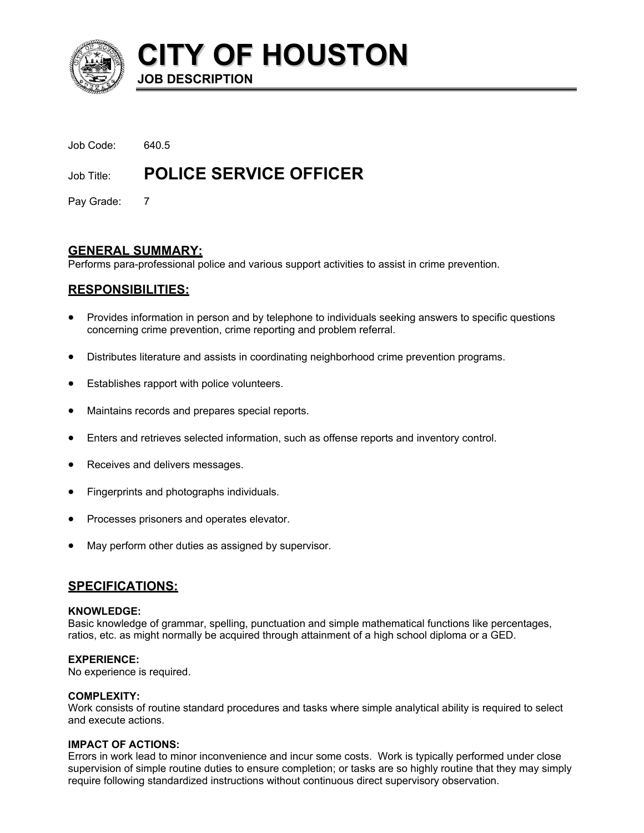

**CITY OF HOUSTON JOB DESCRIPTION** 

| Job Code:  | 640.5                         |
|------------|-------------------------------|
| Job Title: | <b>POLICE SERVICE OFFICER</b> |
|            |                               |

Pay Grade: 7

# **GENERAL SUMMARY:**

Performs para-professional police and various support activities to assist in crime prevention.

# **RESPONSIBILITIES:**

- Provides information in person and by telephone to individuals seeking answers to specific questions concerning crime prevention, crime reporting and problem referral.
- Distributes literature and assists in coordinating neighborhood crime prevention programs.
- Establishes rapport with police volunteers.
- Maintains records and prepares special reports.
- Enters and retrieves selected information, such as offense reports and inventory control.
- Receives and delivers messages.
- Fingerprints and photographs individuals.
- Processes prisoners and operates elevator.
- May perform other duties as assigned by supervisor.

# **SPECIFICATIONS:**

#### **KNOWLEDGE:**

Basic knowledge of grammar, spelling, punctuation and simple mathematical functions like percentages, ratios, etc. as might normally be acquired through attainment of a high school diploma or a GED.

## **EXPERIENCE:**

No experience is required.

## **COMPLEXITY:**

Work consists of routine standard procedures and tasks where simple analytical ability is required to select and execute actions.

## **IMPACT OF ACTIONS:**

Errors in work lead to minor inconvenience and incur some costs. Work is typically performed under close supervision of simple routine duties to ensure completion; or tasks are so highly routine that they may simply require following standardized instructions without continuous direct supervisory observation.